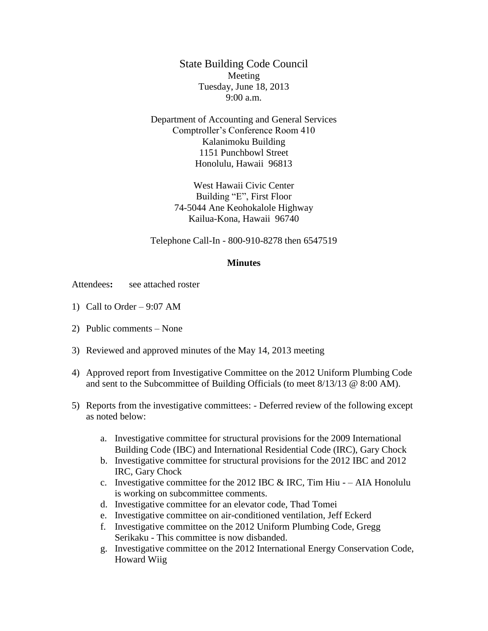State Building Code Council Meeting Tuesday, June 18, 2013 9:00 a.m.

Department of Accounting and General Services Comptroller's Conference Room 410 Kalanimoku Building 1151 Punchbowl Street Honolulu, Hawaii 96813

> West Hawaii Civic Center Building "E", First Floor 74-5044 Ane Keohokalole Highway Kailua-Kona, Hawaii 96740

Telephone Call-In - 800-910-8278 then 6547519

#### **Minutes**

Attendees: see attached roster

- 1) Call to Order 9:07 AM
- 2) Public comments None
- 3) Reviewed and approved minutes of the May 14, 2013 meeting
- 4) Approved report from Investigative Committee on the 2012 Uniform Plumbing Code and sent to the Subcommittee of Building Officials (to meet 8/13/13 @ 8:00 AM).
- 5) Reports from the investigative committees: Deferred review of the following except as noted below:
	- a. Investigative committee for structural provisions for the 2009 International Building Code (IBC) and International Residential Code (IRC), Gary Chock
	- b. Investigative committee for structural provisions for the 2012 IBC and 2012 IRC, Gary Chock
	- c. Investigative committee for the 2012 IBC  $&$  IRC, Tim Hiu – AIA Honolulu is working on subcommittee comments.
	- d. Investigative committee for an elevator code, Thad Tomei
	- e. Investigative committee on air-conditioned ventilation, Jeff Eckerd
	- f. Investigative committee on the 2012 Uniform Plumbing Code, Gregg Serikaku - This committee is now disbanded.
	- g. Investigative committee on the 2012 International Energy Conservation Code, Howard Wiig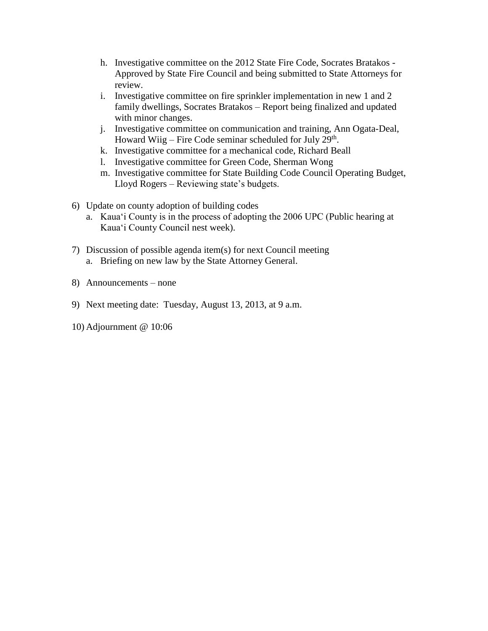- h. Investigative committee on the 2012 State Fire Code, Socrates Bratakos Approved by State Fire Council and being submitted to State Attorneys for review.
- i. Investigative committee on fire sprinkler implementation in new 1 and 2 family dwellings, Socrates Bratakos – Report being finalized and updated with minor changes.
- j. Investigative committee on communication and training, Ann Ogata-Deal, Howard Wiig – Fire Code seminar scheduled for July 29<sup>th</sup>.
- k. Investigative committee for a mechanical code, Richard Beall
- l. Investigative committee for Green Code, Sherman Wong
- m. Investigative committee for State Building Code Council Operating Budget, Lloyd Rogers – Reviewing state's budgets.
- 6) Update on county adoption of building codes
	- a. Kaua'i County is in the process of adopting the 2006 UPC (Public hearing at Kaua'i County Council nest week).
- 7) Discussion of possible agenda item(s) for next Council meeting a. Briefing on new law by the State Attorney General.
- 8) Announcements none
- 9) Next meeting date: Tuesday, August 13, 2013, at 9 a.m.
- 10) Adjournment @ 10:06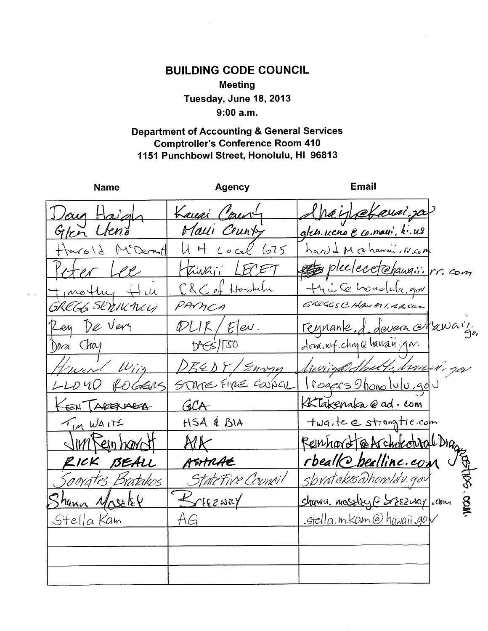## **BUILDING CODE COUNCIL Meeting** Tuesday, June 18, 2013  $9:00 a.m.$

### **Department of Accounting & General Services Comptroller's Conference Room 410** 1151 Punchbowl Street, Honolulu, HI 96813

| Name                 | <b>Agency</b>            | Email                                      |
|----------------------|--------------------------|--------------------------------------------|
| Vay Haigh            | Lausi Caury              | Hnain efeuai. ja                           |
| Glen Lleno           | Malli Crunty             | g/ch.ueno e co.maui, h.us                  |
| Harold McDermitt     | $U H$ cocel 675          | hard & M cohawai, r.c.m                    |
| eter Lee             | Hawaii LECET             | plecetchaugii. rr. com                     |
| <u>timothy ttill</u> | C&C of Haskulu           | thui Co hondale, gov                       |
| GREGG SENIKMI        | PAMCA                    | GREGGSCHANAI, RA, Can                      |
| Rey De Vers          | DUIK/Elev.               | reynante. J. devera el ruavi.              |
| Dara Chay            | DAGS/T30                 | dora.wf.chape hanau.por.                   |
| Henryd Win           | DREDY/Envyn              | <u>Munigo Shalt, hawani gov</u>            |
| LLOUD ROGERS         |                          | STARE FIRE COUSCIL \ rogers shono lulu.gov |
| EN TABERABA          | GCA                      | Kakenaka @ ad. com                         |
| TIM WAITE            | HSA & BIA                | twaite estroigtie.com                      |
| JIMKeinhardt         | $\mathcal{R}\mathcal{K}$ | Femhard @Architectral Dia                  |
| RICK BEALL           | ASHRAE                   | rbeallChealline.com                        |
| Soevates Bratakos    | StateFive Council        | Sbvatakos Dhonoldv. gov                    |
| Shann Moselet        | Briezway                 | shansu. massley@ Sessuay.com               |
| Stella Kam           | AG                       | <u>stella.m.kam@hawaii.go</u> V            |
|                      |                          |                                            |
|                      |                          |                                            |
|                      |                          |                                            |